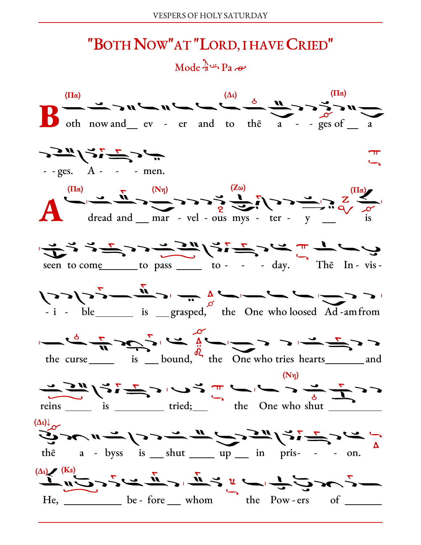